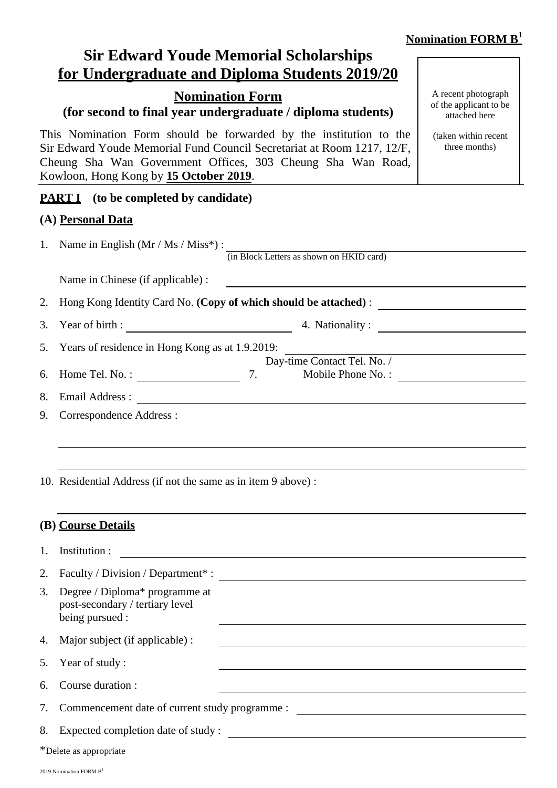# **Nomination FORM B<sup>1</sup>**

|    | <b>Sir Edward Youde Memorial Scholarships</b><br>for Undergraduate and Diploma Students 2019/20                                                                                                                                                       |                                                                |
|----|-------------------------------------------------------------------------------------------------------------------------------------------------------------------------------------------------------------------------------------------------------|----------------------------------------------------------------|
|    | <b>Nomination Form</b><br>(for second to final year undergraduate / diploma students)                                                                                                                                                                 | A recent photograph<br>of the applicant to be<br>attached here |
|    | This Nomination Form should be forwarded by the institution to the<br>Sir Edward Youde Memorial Fund Council Secretariat at Room 1217, 12/F,<br>Cheung Sha Wan Government Offices, 303 Cheung Sha Wan Road,<br>Kowloon, Hong Kong by 15 October 2019. | (taken within recent<br>three months)                          |
|    | <b>PART I</b> (to be completed by candidate)                                                                                                                                                                                                          |                                                                |
|    | (A) Personal Data                                                                                                                                                                                                                                     |                                                                |
|    | 1. Name in English $(Mr / Ms / Miss^*)$ :<br>(in Block Letters as shown on HKID card)                                                                                                                                                                 |                                                                |
|    | Name in Chinese (if applicable) :<br><u> 1989 - Johann Harry Harry Harry Harry Harry Harry Harry Harry Harry Harry Harry Harry Harry Harry Harry Harry</u>                                                                                            |                                                                |
| 2. |                                                                                                                                                                                                                                                       |                                                                |
| 3. | 4. Nationality:<br>Year of birth : $\qquad \qquad$                                                                                                                                                                                                    |                                                                |
| 5. | Years of residence in Hong Kong as at 1.9.2019:                                                                                                                                                                                                       |                                                                |
| 6. | Day-time Contact Tel. No. /<br>Home Tel. No. : $\qquad \qquad$<br>7.<br>Mobile Phone No. :                                                                                                                                                            |                                                                |
| 8. |                                                                                                                                                                                                                                                       |                                                                |
| 9. | Correspondence Address :                                                                                                                                                                                                                              |                                                                |
|    | 10. Residential Address (if not the same as in item 9 above):                                                                                                                                                                                         |                                                                |
|    | (B) Course Details                                                                                                                                                                                                                                    |                                                                |
| 1. | Institution :                                                                                                                                                                                                                                         |                                                                |
| 2. |                                                                                                                                                                                                                                                       |                                                                |
| 3. | Degree / Diploma* programme at<br>post-secondary / tertiary level<br>being pursued :                                                                                                                                                                  |                                                                |
| 4. | Major subject (if applicable) :                                                                                                                                                                                                                       |                                                                |
| 5. | Year of study:                                                                                                                                                                                                                                        |                                                                |
| 6. | Course duration :                                                                                                                                                                                                                                     |                                                                |
| 7. |                                                                                                                                                                                                                                                       |                                                                |
| 8. | Expected completion date of study:<br><u> 1980 - John Stein, amerikansk politiker (* 1900)</u>                                                                                                                                                        |                                                                |
|    | *Delete as appropriate                                                                                                                                                                                                                                |                                                                |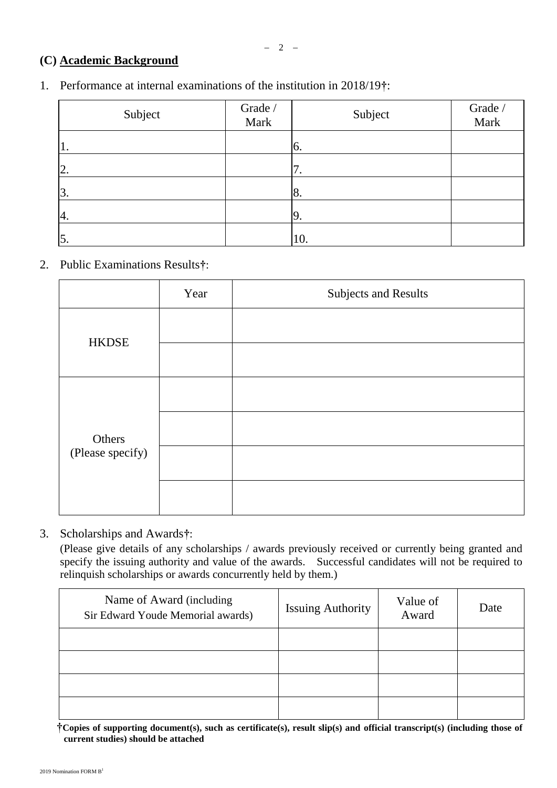# **(C) Academic Background**

1. Performance at internal examinations of the institution in 2018/19**†**:

| Subject | Grade /<br>Mark | Subject | Grade /<br>Mark |
|---------|-----------------|---------|-----------------|
| 1.      |                 | 6.      |                 |
| 2.      |                 | 7.      |                 |
| 3.      |                 | 8.      |                 |
| 4.      |                 | 19.     |                 |
| 5.      |                 | 10.     |                 |

2. Public Examinations Results**†**:

|                  | Year | <b>Subjects and Results</b> |
|------------------|------|-----------------------------|
| <b>HKDSE</b>     |      |                             |
| Others           |      |                             |
| (Please specify) |      |                             |
|                  |      |                             |

3. Scholarships and Awards**†**:

(Please give details of any scholarships / awards previously received or currently being granted and specify the issuing authority and value of the awards. Successful candidates will not be required to relinquish scholarships or awards concurrently held by them.)

| Name of Award (including<br>Sir Edward Youde Memorial awards) | <b>Issuing Authority</b> | Value of<br>Award | Date |
|---------------------------------------------------------------|--------------------------|-------------------|------|
|                                                               |                          |                   |      |
|                                                               |                          |                   |      |
|                                                               |                          |                   |      |
|                                                               |                          |                   |      |

**†Copies of supporting document(s), such as certificate(s), result slip(s) and official transcript(s) (including those of current studies) should be attached**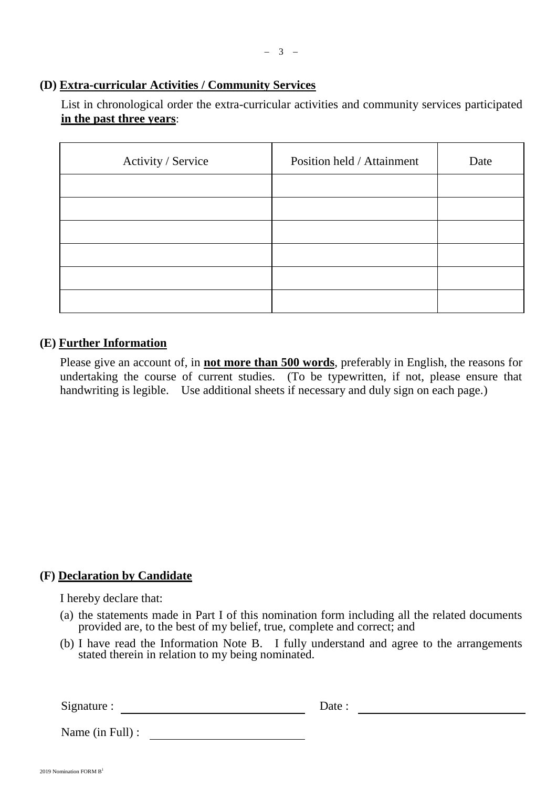### **(D) Extra-curricular Activities / Community Services**

List in chronological order the extra-curricular activities and community services participated **in the past three years**:

| Activity / Service | Position held / Attainment | Date |
|--------------------|----------------------------|------|
|                    |                            |      |
|                    |                            |      |
|                    |                            |      |
|                    |                            |      |
|                    |                            |      |
|                    |                            |      |

### **(E) Further Information**

Please give an account of, in **not more than 500 words**, preferably in English, the reasons for undertaking the course of current studies. (To be typewritten, if not, please ensure that handwriting is legible. Use additional sheets if necessary and duly sign on each page.)

## **(F) Declaration by Candidate**

I hereby declare that:

- (a) the statements made in Part I of this nomination form including all the related documents provided are, to the best of my belief, true, complete and correct; and
- (b) I have read the Information Note B. I fully understand and agree to the arrangements stated therein in relation to my being nominated.

Signature : Date :

Name (in Full) :